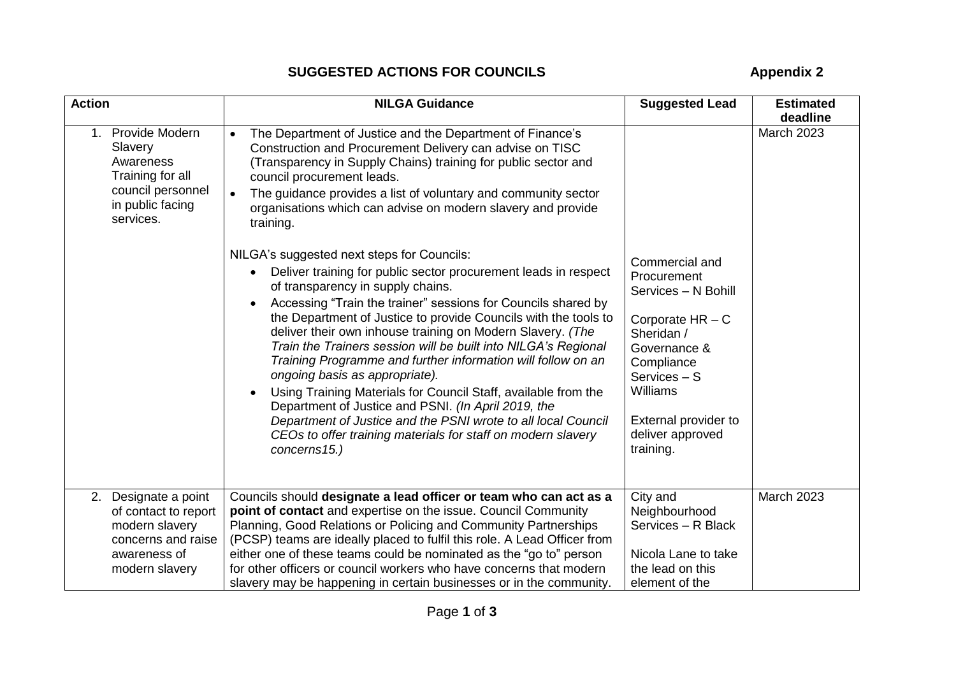## **SUGGESTED ACTIONS FOR COUNCILS Appendix 2**

| <b>Action</b>                                                                                                       | <b>NILGA Guidance</b>                                                                                                                                                                                                                                                                                                                                                                                                                                                                                                                                                                                                                                                                                                                                                                                                                                                                                                                                                                                                                                                                                                                                                                                | <b>Suggested Lead</b>                                                                                                                                                                                       | <b>Estimated</b><br>deadline |
|---------------------------------------------------------------------------------------------------------------------|------------------------------------------------------------------------------------------------------------------------------------------------------------------------------------------------------------------------------------------------------------------------------------------------------------------------------------------------------------------------------------------------------------------------------------------------------------------------------------------------------------------------------------------------------------------------------------------------------------------------------------------------------------------------------------------------------------------------------------------------------------------------------------------------------------------------------------------------------------------------------------------------------------------------------------------------------------------------------------------------------------------------------------------------------------------------------------------------------------------------------------------------------------------------------------------------------|-------------------------------------------------------------------------------------------------------------------------------------------------------------------------------------------------------------|------------------------------|
| 1. Provide Modern<br>Slavery<br>Awareness<br>Training for all<br>council personnel<br>in public facing<br>services. | The Department of Justice and the Department of Finance's<br>$\bullet$<br>Construction and Procurement Delivery can advise on TISC<br>(Transparency in Supply Chains) training for public sector and<br>council procurement leads.<br>The guidance provides a list of voluntary and community sector<br>$\bullet$<br>organisations which can advise on modern slavery and provide<br>training.<br>NILGA's suggested next steps for Councils:<br>Deliver training for public sector procurement leads in respect<br>of transparency in supply chains.<br>Accessing "Train the trainer" sessions for Councils shared by<br>the Department of Justice to provide Councils with the tools to<br>deliver their own inhouse training on Modern Slavery. (The<br>Train the Trainers session will be built into NILGA's Regional<br>Training Programme and further information will follow on an<br>ongoing basis as appropriate).<br>Using Training Materials for Council Staff, available from the<br>Department of Justice and PSNI. (In April 2019, the<br>Department of Justice and the PSNI wrote to all local Council<br>CEOs to offer training materials for staff on modern slavery<br>concerns15.) | Commercial and<br>Procurement<br>Services - N Bohill<br>Corporate $HR - C$<br>Sheridan /<br>Governance &<br>Compliance<br>Services - S<br>Williams<br>External provider to<br>deliver approved<br>training. | <b>March 2023</b>            |
| Designate a point<br>2.<br>of contact to report                                                                     | Councils should designate a lead officer or team who can act as a<br>point of contact and expertise on the issue. Council Community                                                                                                                                                                                                                                                                                                                                                                                                                                                                                                                                                                                                                                                                                                                                                                                                                                                                                                                                                                                                                                                                  | City and<br>Neighbourhood                                                                                                                                                                                   | <b>March 2023</b>            |
| modern slavery<br>concerns and raise                                                                                | Planning, Good Relations or Policing and Community Partnerships<br>(PCSP) teams are ideally placed to fulfil this role. A Lead Officer from                                                                                                                                                                                                                                                                                                                                                                                                                                                                                                                                                                                                                                                                                                                                                                                                                                                                                                                                                                                                                                                          | Services - R Black                                                                                                                                                                                          |                              |
| awareness of<br>modern slavery                                                                                      | either one of these teams could be nominated as the "go to" person<br>for other officers or council workers who have concerns that modern<br>slavery may be happening in certain businesses or in the community.                                                                                                                                                                                                                                                                                                                                                                                                                                                                                                                                                                                                                                                                                                                                                                                                                                                                                                                                                                                     | Nicola Lane to take<br>the lead on this<br>element of the                                                                                                                                                   |                              |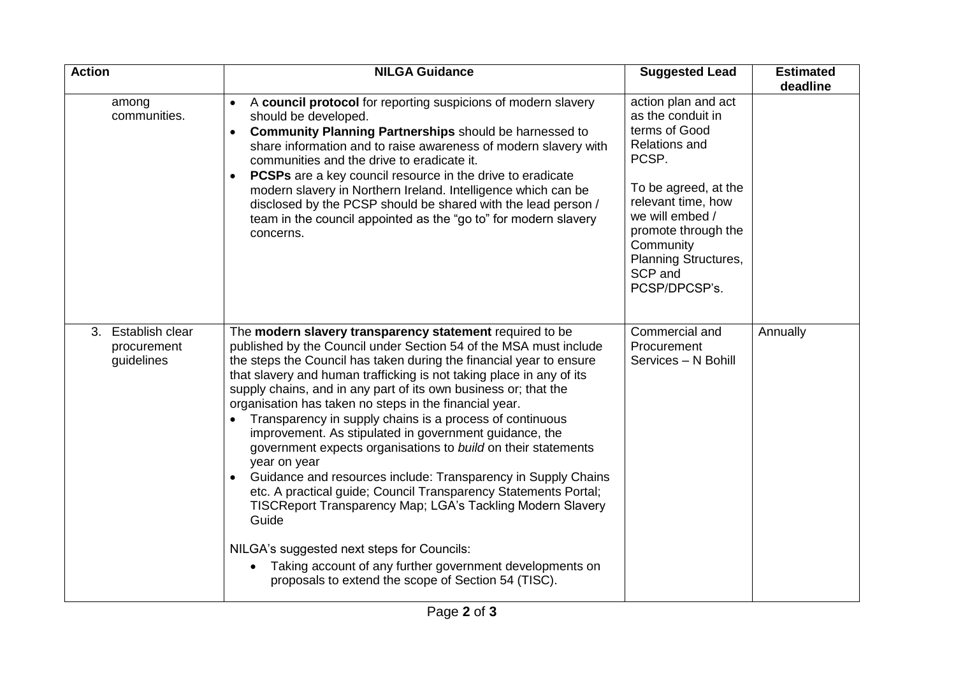| <b>Action</b>                                   | <b>NILGA Guidance</b>                                                                                                                                                                                                                                                                                                                                                                                                                                                                                                                                                                                                                                                                                                                                                                                                                                                                                                                                                                                     | <b>Suggested Lead</b>                                                                                                                                                                                                                               | <b>Estimated</b><br>deadline |
|-------------------------------------------------|-----------------------------------------------------------------------------------------------------------------------------------------------------------------------------------------------------------------------------------------------------------------------------------------------------------------------------------------------------------------------------------------------------------------------------------------------------------------------------------------------------------------------------------------------------------------------------------------------------------------------------------------------------------------------------------------------------------------------------------------------------------------------------------------------------------------------------------------------------------------------------------------------------------------------------------------------------------------------------------------------------------|-----------------------------------------------------------------------------------------------------------------------------------------------------------------------------------------------------------------------------------------------------|------------------------------|
| among<br>communities.                           | A council protocol for reporting suspicions of modern slavery<br>$\bullet$<br>should be developed.<br>Community Planning Partnerships should be harnessed to<br>share information and to raise awareness of modern slavery with<br>communities and the drive to eradicate it.<br><b>PCSPs</b> are a key council resource in the drive to eradicate<br>modern slavery in Northern Ireland. Intelligence which can be<br>disclosed by the PCSP should be shared with the lead person /<br>team in the council appointed as the "go to" for modern slavery<br>concerns.                                                                                                                                                                                                                                                                                                                                                                                                                                      | action plan and act<br>as the conduit in<br>terms of Good<br><b>Relations and</b><br>PCSP.<br>To be agreed, at the<br>relevant time, how<br>we will embed /<br>promote through the<br>Community<br>Planning Structures,<br>SCP and<br>PCSP/DPCSP's. |                              |
| 3. Establish clear<br>procurement<br>guidelines | The modern slavery transparency statement required to be<br>published by the Council under Section 54 of the MSA must include<br>the steps the Council has taken during the financial year to ensure<br>that slavery and human trafficking is not taking place in any of its<br>supply chains, and in any part of its own business or; that the<br>organisation has taken no steps in the financial year.<br>Transparency in supply chains is a process of continuous<br>$\bullet$<br>improvement. As stipulated in government guidance, the<br>government expects organisations to build on their statements<br>year on year<br>Guidance and resources include: Transparency in Supply Chains<br>etc. A practical guide; Council Transparency Statements Portal;<br>TISCReport Transparency Map; LGA's Tackling Modern Slavery<br>Guide<br>NILGA's suggested next steps for Councils:<br>Taking account of any further government developments on<br>proposals to extend the scope of Section 54 (TISC). | Commercial and<br>Procurement<br>Services - N Bohill                                                                                                                                                                                                | Annually                     |